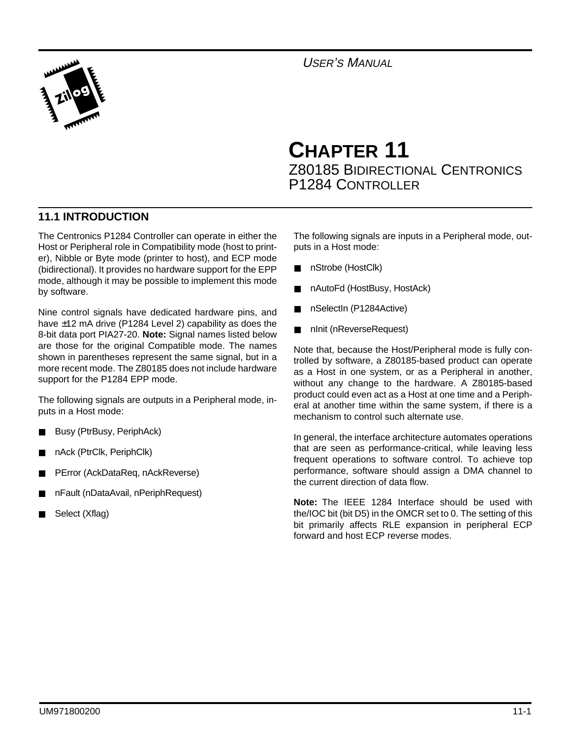

USER'S MANUAL

# **CHAPTER 11** Z80185 BIDIRECTIONAL CENTRONICS P1284 CONTROLLER

## **11.1 INTRODUCTION**

The Centronics P1284 Controller can operate in either the Host or Peripheral role in Compatibility mode (host to printer), Nibble or Byte mode (printer to host), and ECP mode (bidirectional). It provides no hardware support for the EPP mode, although it may be possible to implement this mode by software.

Nine control signals have dedicated hardware pins, and have ±12 mA drive (P1284 Level 2) capability as does the 8-bit data port PIA27-20. **Note:** Signal names listed below are those for the original Compatible mode. The names shown in parentheses represent the same signal, but in a more recent mode. The Z80185 does not include hardware support for the P1284 EPP mode.

The following signals are outputs in a Peripheral mode, inputs in a Host mode:

- Busy (PtrBusy, PeriphAck)
- nAck (PtrClk, PeriphClk)
- PError (AckDataReq, nAckReverse)
- nFault (nDataAvail, nPeriphRequest)
- Select (Xflag)

The following signals are inputs in a Peripheral mode, outputs in a Host mode:

- nStrobe (HostClk)
- nAutoFd (HostBusy, HostAck)
- nSelectIn (P1284Active)
- nInit (nReverseRequest)

Note that, because the Host/Peripheral mode is fully controlled by software, a Z80185-based product can operate as a Host in one system, or as a Peripheral in another, without any change to the hardware. A Z80185-based product could even act as a Host at one time and a Peripheral at another time within the same system, if there is a mechanism to control such alternate use.

In general, the interface architecture automates operations that are seen as performance-critical, while leaving less frequent operations to software control. To achieve top performance, software should assign a DMA channel to the current direction of data flow.

**Note:** The IEEE 1284 Interface should be used with the/IOC bit (bit D5) in the OMCR set to 0. The setting of this bit primarily affects RLE expansion in peripheral ECP forward and host ECP reverse modes.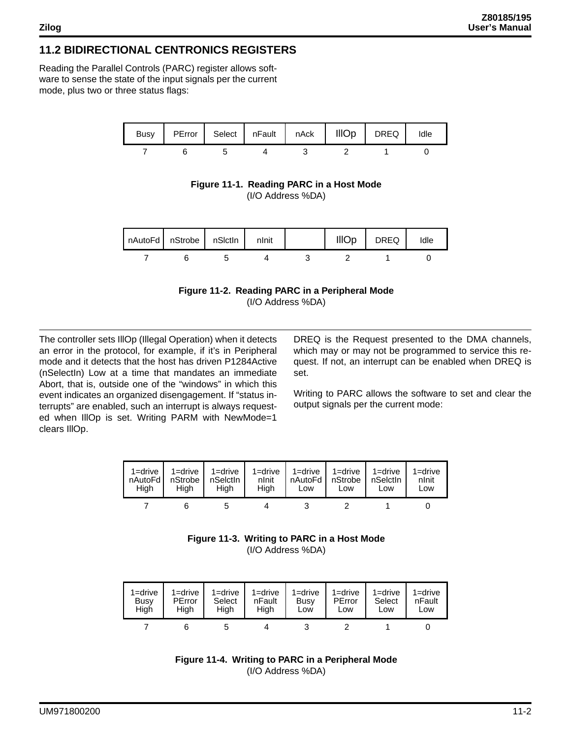## **11.2 BIDIRECTIONAL CENTRONICS REGISTERS**

Reading the Parallel Controls (PARC) register allows software to sense the state of the input signals per the current mode, plus two or three status flags:



**Figure 11-1. Reading PARC in a Host Mode** (I/O Address %DA)

| nAutoFd   nStrobe   nSictin |  | nlnit | <b>IIIOp</b> | DREQ | Idle |
|-----------------------------|--|-------|--------------|------|------|
|                             |  |       |              |      |      |



The controller sets IllOp (Illegal Operation) when it detects an error in the protocol, for example, if it's in Peripheral mode and it detects that the host has driven P1284Active (nSelectIn) Low at a time that mandates an immediate Abort, that is, outside one of the "windows" in which this event indicates an organized disengagement. If "status interrupts" are enabled, such an interrupt is always requested when IllOp is set. Writing PARM with NewMode=1 clears IllOp.

DREQ is the Request presented to the DMA channels, which may or may not be programmed to service this request. If not, an interrupt can be enabled when DREQ is set.

Writing to PARC allows the software to set and clear the output signals per the current mode:

| 1=drive,<br>nAutoFd I<br>Hiah | nStrobe I<br>Hiah | 1=drive   1=drive<br>nSelctIn<br>Hiah | $1 =$ drive<br>nlnit<br>Hiah | Low | 1=drive   1=drive   1=drive<br>nAutoFd I nStrobe I nSelctin<br>Low | Low | 1=drive<br>nlnit<br>Low |
|-------------------------------|-------------------|---------------------------------------|------------------------------|-----|--------------------------------------------------------------------|-----|-------------------------|
|                               |                   |                                       |                              |     |                                                                    |     |                         |

**Figure 11-3. Writing to PARC in a Host Mode** (I/O Address %DA)

| $1 =$ drive | 1=drive | $1 =$ drive | $1 =$ drive | $1 =$ drive | $1 =$ drive | $1 =$ drive | $1 =$ drive |
|-------------|---------|-------------|-------------|-------------|-------------|-------------|-------------|
| Busy        | PError  | Select      | nFault      | Busy        | PError      | Select      | nFault      |
| High        | High    | High        | High        | Low         | Low         | Low         | Low         |
|             |         |             |             |             |             |             |             |

**Figure 11-4. Writing to PARC in a Peripheral Mode** (I/O Address %DA)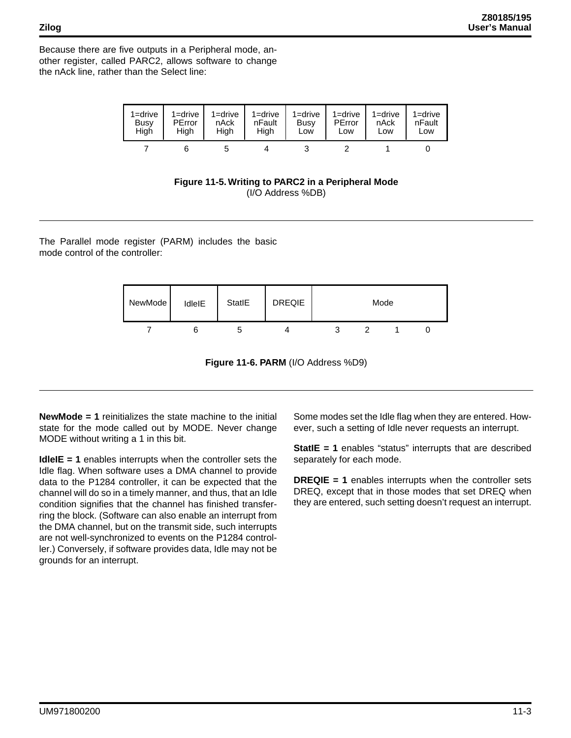Because there are five outputs in a Peripheral mode, another register, called PARC2, allows software to change the nAck line, rather than the Select line:

| $1 =$ drive | $1 =$ drive | $1 =$ drive | $1 =$ drive | $1 =$ drive | 1=drive | $1 =$ drive | $1 =$ drive |
|-------------|-------------|-------------|-------------|-------------|---------|-------------|-------------|
| Busy        | PError      | nAck        | nFault      | Busy        | PError  | nAck        | nFault      |
| High        | High        | Hiah        | Hiah        | Low         | Low     | Low         | Low         |
|             |             |             |             |             |         |             |             |

**Figure 11-5. Writing to PARC2 in a Peripheral Mode** (I/O Address %DB)

The Parallel mode register (PARM) includes the basic mode control of the controller:

| NewMode | IdleIE | StatlE | <b>DREQIE</b> |  | Mode |  |
|---------|--------|--------|---------------|--|------|--|
|         |        |        |               |  |      |  |

**Figure 11-6. PARM** (I/O Address %D9)

**NewMode = 1** reinitializes the state machine to the initial state for the mode called out by MODE. Never change MODE without writing a 1 in this bit.

**IdleIE = 1** enables interrupts when the controller sets the Idle flag. When software uses a DMA channel to provide data to the P1284 controller, it can be expected that the channel will do so in a timely manner, and thus, that an Idle condition signifies that the channel has finished transferring the block. (Software can also enable an interrupt from the DMA channel, but on the transmit side, such interrupts are not well-synchronized to events on the P1284 controller.) Conversely, if software provides data, Idle may not be grounds for an interrupt.

Some modes set the Idle flag when they are entered. However, such a setting of Idle never requests an interrupt.

**StatIE = 1** enables "status" interrupts that are described separately for each mode.

**DREQIE = 1** enables interrupts when the controller sets DREQ, except that in those modes that set DREQ when they are entered, such setting doesn't request an interrupt.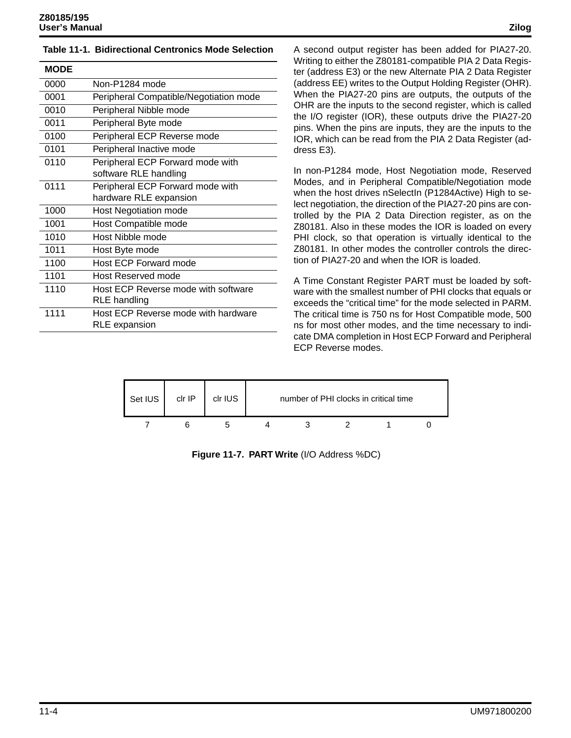#### **Table 11-1. Bidirectional Centronics Mode Selection**

| <b>MODE</b> |                                                            |
|-------------|------------------------------------------------------------|
| 0000        | Non-P1284 mode                                             |
| 0001        | Peripheral Compatible/Negotiation mode                     |
| 0010        | Peripheral Nibble mode                                     |
| 0011        | Peripheral Byte mode                                       |
| 0100        | Peripheral ECP Reverse mode                                |
| 0101        | Peripheral Inactive mode                                   |
| 0110        | Peripheral ECP Forward mode with<br>software RLE handling  |
| 0111        | Peripheral ECP Forward mode with<br>hardware RLE expansion |
| 1000        | <b>Host Negotiation mode</b>                               |
| 1001        | Host Compatible mode                                       |
| 1010        | Host Nibble mode                                           |
| 1011        | Host Byte mode                                             |
| 1100        | <b>Host ECP Forward mode</b>                               |
| 1101        | <b>Host Reserved mode</b>                                  |
| 1110        | Host ECP Reverse mode with software<br>RLE handling        |
| 1111        | Host ECP Reverse mode with hardware<br>RLE expansion       |

A second output register has been added for PIA27-20. Writing to either the Z80181-compatible PIA 2 Data Register (address E3) or the new Alternate PIA 2 Data Register (address EE) writes to the Output Holding Register (OHR). When the PIA27-20 pins are outputs, the outputs of the OHR are the inputs to the second register, which is called the I/O register (IOR), these outputs drive the PIA27-20 pins. When the pins are inputs, they are the inputs to the IOR, which can be read from the PIA 2 Data Register (address E3).

In non-P1284 mode, Host Negotiation mode, Reserved Modes, and in Peripheral Compatible/Negotiation mode when the host drives nSelectIn (P1284Active) High to select negotiation, the direction of the PIA27-20 pins are controlled by the PIA 2 Data Direction register, as on the Z80181. Also in these modes the IOR is loaded on every PHI clock, so that operation is virtually identical to the Z80181. In other modes the controller controls the direction of PIA27-20 and when the IOR is loaded.

A Time Constant Register PART must be loaded by software with the smallest number of PHI clocks that equals or exceeds the "critical time" for the mode selected in PARM. The critical time is 750 ns for Host Compatible mode, 500 ns for most other modes, and the time necessary to indicate DMA completion in Host ECP Forward and Peripheral ECP Reverse modes.



**Figure 11-7. PART Write** (I/O Address %DC)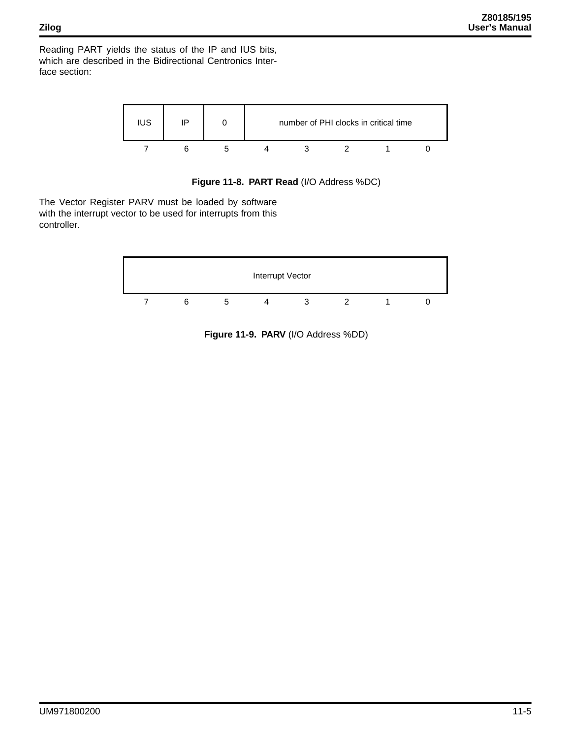Reading PART yields the status of the IP and IUS bits, which are described in the Bidirectional Centronics Interface section:



**Figure 11-8. PART Read** (I/O Address %DC)

The Vector Register PARV must be loaded by software with the interrupt vector to be used for interrupts from this controller.



**Figure 11-9. PARV** (I/O Address %DD)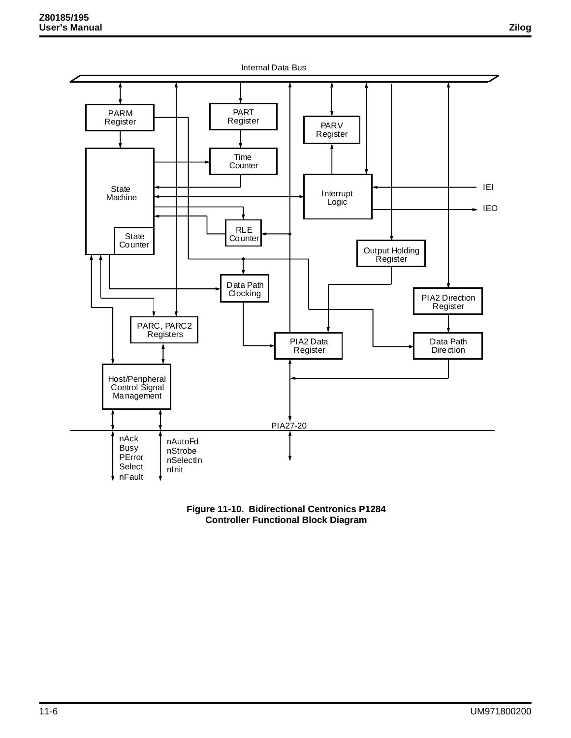

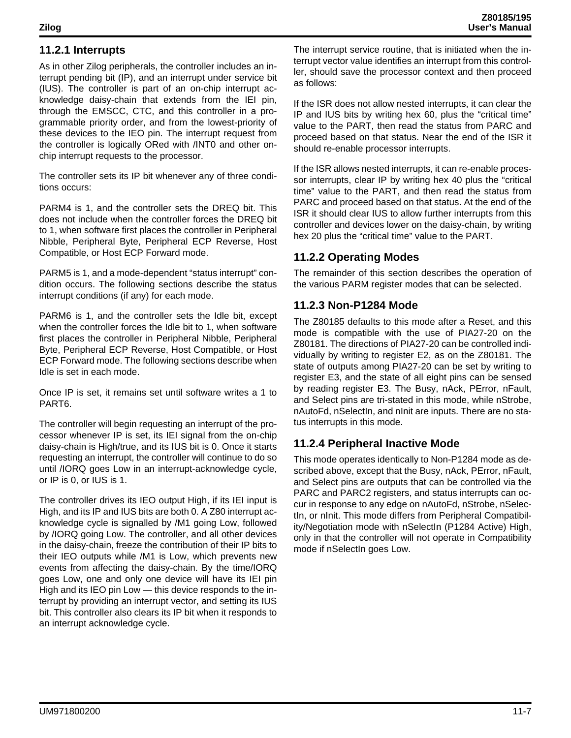## **11.2.1 Interrupts**

As in other Zilog peripherals, the controller includes an interrupt pending bit (IP), and an interrupt under service bit (IUS). The controller is part of an on-chip interrupt acknowledge daisy-chain that extends from the IEI pin, through the EMSCC, CTC, and this controller in a programmable priority order, and from the lowest-priority of these devices to the IEO pin. The interrupt request from the controller is logically ORed with /INT0 and other onchip interrupt requests to the processor.

The controller sets its IP bit whenever any of three conditions occurs:

PARM4 is 1, and the controller sets the DREQ bit. This does not include when the controller forces the DREQ bit to 1, when software first places the controller in Peripheral Nibble, Peripheral Byte, Peripheral ECP Reverse, Host Compatible, or Host ECP Forward mode.

PARM5 is 1, and a mode-dependent "status interrupt" condition occurs. The following sections describe the status interrupt conditions (if any) for each mode.

PARM6 is 1, and the controller sets the Idle bit, except when the controller forces the Idle bit to 1, when software first places the controller in Peripheral Nibble, Peripheral Byte, Peripheral ECP Reverse, Host Compatible, or Host ECP Forward mode. The following sections describe when Idle is set in each mode.

Once IP is set, it remains set until software writes a 1 to PART6.

The controller will begin requesting an interrupt of the processor whenever IP is set, its IEI signal from the on-chip daisy-chain is High/true, and its IUS bit is 0. Once it starts requesting an interrupt, the controller will continue to do so until /IORQ goes Low in an interrupt-acknowledge cycle, or IP is 0, or IUS is 1.

The controller drives its IEO output High, if its IEI input is High, and its IP and IUS bits are both 0. A Z80 interrupt acknowledge cycle is signalled by /M1 going Low, followed by /IORQ going Low. The controller, and all other devices in the daisy-chain, freeze the contribution of their IP bits to their IEO outputs while /M1 is Low, which prevents new events from affecting the daisy-chain. By the time/IORQ goes Low, one and only one device will have its IEI pin High and its IEO pin Low — this device responds to the interrupt by providing an interrupt vector, and setting its IUS bit. This controller also clears its IP bit when it responds to an interrupt acknowledge cycle.

The interrupt service routine, that is initiated when the interrupt vector value identifies an interrupt from this controller, should save the processor context and then proceed as follows:

If the ISR does not allow nested interrupts, it can clear the IP and IUS bits by writing hex 60, plus the "critical time" value to the PART, then read the status from PARC and proceed based on that status. Near the end of the ISR it should re-enable processor interrupts.

If the ISR allows nested interrupts, it can re-enable processor interrupts, clear IP by writing hex 40 plus the "critical time" value to the PART, and then read the status from PARC and proceed based on that status. At the end of the ISR it should clear IUS to allow further interrupts from this controller and devices lower on the daisy-chain, by writing hex 20 plus the "critical time" value to the PART.

## **11.2.2 Operating Modes**

The remainder of this section describes the operation of the various PARM register modes that can be selected.

### **11.2.3 Non-P1284 Mode**

The Z80185 defaults to this mode after a Reset, and this mode is compatible with the use of PIA27-20 on the Z80181. The directions of PIA27-20 can be controlled individually by writing to register E2, as on the Z80181. The state of outputs among PIA27-20 can be set by writing to register E3, and the state of all eight pins can be sensed by reading register E3. The Busy, nAck, PError, nFault, and Select pins are tri-stated in this mode, while nStrobe, nAutoFd, nSelectIn, and nInit are inputs. There are no status interrupts in this mode.

## **11.2.4 Peripheral Inactive Mode**

This mode operates identically to Non-P1284 mode as described above, except that the Busy, nAck, PError, nFault, and Select pins are outputs that can be controlled via the PARC and PARC2 registers, and status interrupts can occur in response to any edge on nAutoFd, nStrobe, nSelectln, or nInit. This mode differs from Peripheral Compatibility/Negotiation mode with nSelectIn (P1284 Active) High, only in that the controller will not operate in Compatibility mode if nSelectIn goes Low.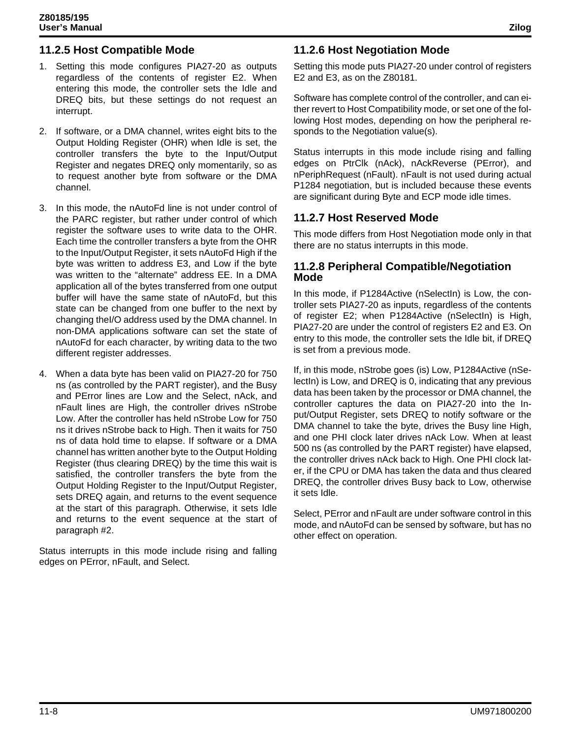## **11.2.5 Host Compatible Mode**

- 1. Setting this mode configures PIA27-20 as outputs regardless of the contents of register E2. When entering this mode, the controller sets the Idle and DREQ bits, but these settings do not request an interrupt.
- 2. If software, or a DMA channel, writes eight bits to the Output Holding Register (OHR) when Idle is set, the controller transfers the byte to the Input/Output Register and negates DREQ only momentarily, so as to request another byte from software or the DMA channel.
- 3. In this mode, the nAutoFd line is not under control of the PARC register, but rather under control of which register the software uses to write data to the OHR. Each time the controller transfers a byte from the OHR to the Input/Output Register, it sets nAutoFd High if the byte was written to address E3, and Low if the byte was written to the "alternate" address EE. In a DMA application all of the bytes transferred from one output buffer will have the same state of nAutoFd, but this state can be changed from one buffer to the next by changing theI/O address used by the DMA channel. In non-DMA applications software can set the state of nAutoFd for each character, by writing data to the two different register addresses.
- 4. When a data byte has been valid on PIA27-20 for 750 ns (as controlled by the PART register), and the Busy and PError lines are Low and the Select, nAck, and nFault lines are High, the controller drives nStrobe Low. After the controller has held nStrobe Low for 750 ns it drives nStrobe back to High. Then it waits for 750 ns of data hold time to elapse. If software or a DMA channel has written another byte to the Output Holding Register (thus clearing DREQ) by the time this wait is satisfied, the controller transfers the byte from the Output Holding Register to the Input/Output Register, sets DREQ again, and returns to the event sequence at the start of this paragraph. Otherwise, it sets Idle and returns to the event sequence at the start of paragraph #2.

Status interrupts in this mode include rising and falling edges on PError, nFault, and Select.

## **11.2.6 Host Negotiation Mode**

Setting this mode puts PIA27-20 under control of registers E2 and E3, as on the Z80181.

Software has complete control of the controller, and can either revert to Host Compatibility mode, or set one of the following Host modes, depending on how the peripheral responds to the Negotiation value(s).

Status interrupts in this mode include rising and falling edges on PtrClk (nAck), nAckReverse (PError), and nPeriphRequest (nFault). nFault is not used during actual P1284 negotiation, but is included because these events are significant during Byte and ECP mode idle times.

#### **11.2.7 Host Reserved Mode**

This mode differs from Host Negotiation mode only in that there are no status interrupts in this mode.

#### **11.2.8 Peripheral Compatible/Negotiation Mode**

In this mode, if P1284Active (nSelectIn) is Low, the controller sets PIA27-20 as inputs, regardless of the contents of register E2; when P1284Active (nSelectIn) is High, PIA27-20 are under the control of registers E2 and E3. On entry to this mode, the controller sets the Idle bit, if DREQ is set from a previous mode.

If, in this mode, nStrobe goes (is) Low, P1284Active (nSelectIn) is Low, and DREQ is 0, indicating that any previous data has been taken by the processor or DMA channel, the controller captures the data on PIA27-20 into the Input/Output Register, sets DREQ to notify software or the DMA channel to take the byte, drives the Busy line High, and one PHI clock later drives nAck Low. When at least 500 ns (as controlled by the PART register) have elapsed, the controller drives nAck back to High. One PHI clock later, if the CPU or DMA has taken the data and thus cleared DREQ, the controller drives Busy back to Low, otherwise it sets Idle.

Select, PError and nFault are under software control in this mode, and nAutoFd can be sensed by software, but has no other effect on operation.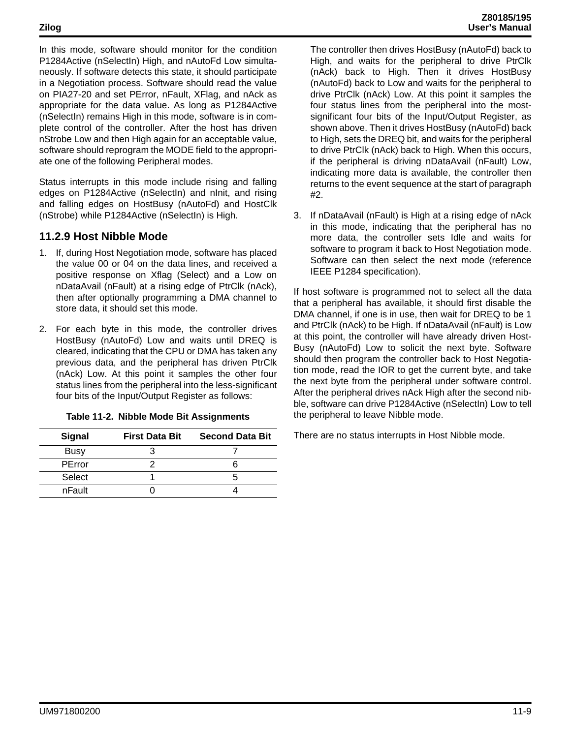In this mode, software should monitor for the condition P1284Active (nSelectIn) High, and nAutoFd Low simultaneously. If software detects this state, it should participate in a Negotiation process. Software should read the value on PIA27-20 and set PError, nFault, XFlag, and nAck as appropriate for the data value. As long as P1284Active (nSelectIn) remains High in this mode, software is in complete control of the controller. After the host has driven nStrobe Low and then High again for an acceptable value, software should reprogram the MODE field to the appropriate one of the following Peripheral modes.

Status interrupts in this mode include rising and falling edges on P1284Active (nSelectIn) and nInit, and rising and falling edges on HostBusy (nAutoFd) and HostClk (nStrobe) while P1284Active (nSelectIn) is High.

#### **11.2.9 Host Nibble Mode**

- 1. If, during Host Negotiation mode, software has placed the value 00 or 04 on the data lines, and received a positive response on Xflag (Select) and a Low on nDataAvail (nFault) at a rising edge of PtrClk (nAck), then after optionally programming a DMA channel to store data, it should set this mode.
- 2. For each byte in this mode, the controller drives HostBusy (nAutoFd) Low and waits until DREQ is cleared, indicating that the CPU or DMA has taken any previous data, and the peripheral has driven PtrClk (nAck) Low. At this point it samples the other four status lines from the peripheral into the less-significant four bits of the Input/Output Register as follows:

|  |  |  |  | Table 11-2. Nibble Mode Bit Assignments |
|--|--|--|--|-----------------------------------------|
|--|--|--|--|-----------------------------------------|

| <b>Signal</b> | <b>First Data Bit</b> | <b>Second Data Bit</b> |
|---------------|-----------------------|------------------------|
| <b>Busy</b>   |                       |                        |
| PError        |                       |                        |
| Select        |                       |                        |
| nFault        |                       |                        |

The controller then drives HostBusy (nAutoFd) back to High, and waits for the peripheral to drive PtrClk (nAck) back to High. Then it drives HostBusy (nAutoFd) back to Low and waits for the peripheral to drive PtrClk (nAck) Low. At this point it samples the four status lines from the peripheral into the mostsignificant four bits of the Input/Output Register, as shown above. Then it drives HostBusy (nAutoFd) back to High, sets the DREQ bit, and waits for the peripheral to drive PtrClk (nAck) back to High. When this occurs, if the peripheral is driving nDataAvail (nFault) Low, indicating more data is available, the controller then returns to the event sequence at the start of paragraph #2.

3. If nDataAvail (nFault) is High at a rising edge of nAck in this mode, indicating that the peripheral has no more data, the controller sets Idle and waits for software to program it back to Host Negotiation mode. Software can then select the next mode (reference IEEE P1284 specification).

If host software is programmed not to select all the data that a peripheral has available, it should first disable the DMA channel, if one is in use, then wait for DREQ to be 1 and PtrClk (nAck) to be High. If nDataAvail (nFault) is Low at this point, the controller will have already driven Host-Busy (nAutoFd) Low to solicit the next byte. Software should then program the controller back to Host Negotiation mode, read the IOR to get the current byte, and take the next byte from the peripheral under software control. After the peripheral drives nAck High after the second nibble, software can drive P1284Active (nSelectIn) Low to tell the peripheral to leave Nibble mode.

There are no status interrupts in Host Nibble mode.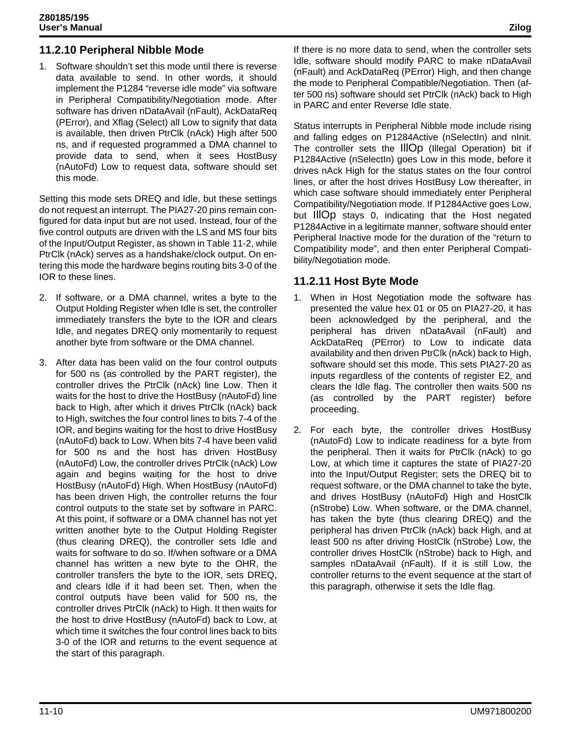## **11.2.10 Peripheral Nibble Mode**

1. Software shouldn't set this mode until there is reverse data available to send. In other words, it should implement the P1284 "reverse idle mode" via software in Peripheral Compatibility/Negotiation mode. After software has driven nDataAvail (nFault), AckDataReq (PError), and Xflag (Select) all Low to signify that data is available, then driven PtrClk (nAck) High after 500 ns, and if requested programmed a DMA channel to provide data to send, when it sees HostBusy (nAutoFd) Low to request data, software should set this mode.

Setting this mode sets DREQ and Idle, but these settings do not request an interrupt. The PIA27-20 pins remain configured for data input but are not used. Instead, four of the five control outputs are driven with the LS and MS four bits of the Input/Output Register, as shown in Table 11-2, while PtrClk (nAck) serves as a handshake/clock output. On entering this mode the hardware begins routing bits 3-0 of the IOR to these lines.

- 2. If software, or a DMA channel, writes a byte to the Output Holding Register when Idle is set, the controller immediately transfers the byte to the IOR and clears Idle, and negates DREQ only momentarily to request another byte from software or the DMA channel.
- 3. After data has been valid on the four control outputs for 500 ns (as controlled by the PART register), the controller drives the PtrClk (nAck) line Low. Then it waits for the host to drive the HostBusy (nAutoFd) line back to High, after which it drives PtrClk (nAck) back to High, switches the four control lines to bits 7-4 of the IOR, and begins waiting for the host to drive HostBusy (nAutoFd) back to Low. When bits 7-4 have been valid for 500 ns and the host has driven HostBusy (nAutoFd) Low, the controller drives PtrClk (nAck) Low again and begins waiting for the host to drive HostBusy (nAutoFd) High. When HostBusy (nAutoFd) has been driven High, the controller returns the four control outputs to the state set by software in PARC. At this point, if software or a DMA channel has not yet written another byte to the Output Holding Register (thus clearing DREQ), the controller sets Idle and waits for software to do so. If/when software or a DMA channel has written a new byte to the OHR, the controller transfers the byte to the IOR, sets DREQ, and clears Idle if it had been set. Then, when the control outputs have been valid for 500 ns, the controller drives PtrClk (nAck) to High. It then waits for the host to drive HostBusy (nAutoFd) back to Low, at which time it switches the four control lines back to bits 3-0 of the IOR and returns to the event sequence at the start of this paragraph.

If there is no more data to send, when the controller sets Idle, software should modify PARC to make nDataAvail (nFault) and AckDataReq (PError) High, and then change the mode to Peripheral Compatible/Negotiation. Then (after 500 ns) software should set PtrClk (nAck) back to High in PARC and enter Reverse Idle state.

Status interrupts in Peripheral Nibble mode include rising and falling edges on P1284Active (nSelectIn) and nInit. The controller sets the IllOp (Illegal Operation) bit if P1284Active (nSelectIn) goes Low in this mode, before it drives nAck High for the status states on the four control lines, or after the host drives HostBusy Low thereafter, in which case software should immediately enter Peripheral Compatibility/Negotiation mode. If P1284Active goes Low, but IllOp stays 0, indicating that the Host negated P1284Active in a legitimate manner, software should enter Peripheral Inactive mode for the duration of the "return to Compatibility mode", and then enter Peripheral Compatibility/Negotiation mode.

### **11.2.11 Host Byte Mode**

- 1. When in Host Negotiation mode the software has presented the value hex 01 or 05 on PIA27-20, it has been acknowledged by the peripheral, and the peripheral has driven nDataAvail (nFault) and AckDataReq (PError) to Low to indicate data availability and then driven PtrClk (nAck) back to High, software should set this mode. This sets PIA27-20 as inputs regardless of the contents of register E2, and clears the Idle flag. The controller then waits 500 ns (as controlled by the PART register) before proceeding.
- 2. For each byte, the controller drives HostBusy (nAutoFd) Low to indicate readiness for a byte from the peripheral. Then it waits for PtrClk (nAck) to go Low, at which time it captures the state of PIA27-20 into the Input/Output Register; sets the DREQ bit to request software, or the DMA channel to take the byte, and drives HostBusy (nAutoFd) High and HostClk (nStrobe) Low. When software, or the DMA channel, has taken the byte (thus clearing DREQ) and the peripheral has driven PtrClk (nAck) back High, and at least 500 ns after driving HostClk (nStrobe) Low, the controller drives HostClk (nStrobe) back to High, and samples nDataAvail (nFault). If it is still Low, the controller returns to the event sequence at the start of this paragraph, otherwise it sets the Idle flag.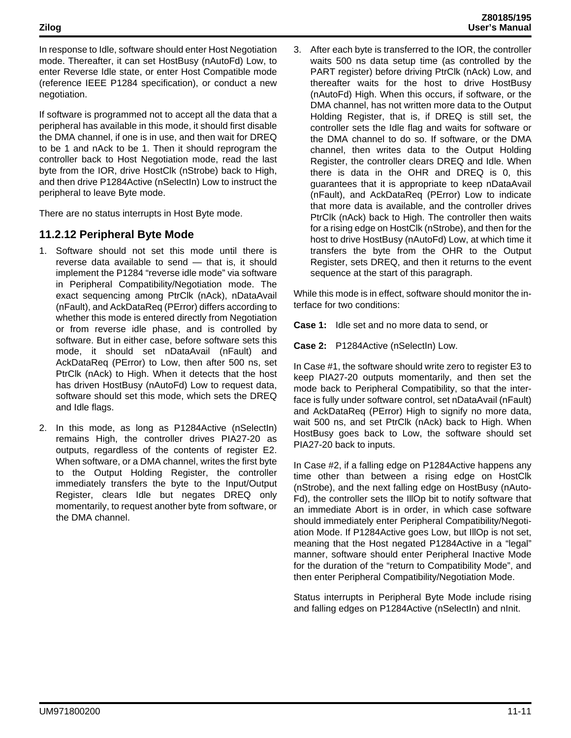In response to Idle, software should enter Host Negotiation mode. Thereafter, it can set HostBusy (nAutoFd) Low, to enter Reverse Idle state, or enter Host Compatible mode (reference IEEE P1284 specification), or conduct a new negotiation.

If software is programmed not to accept all the data that a peripheral has available in this mode, it should first disable the DMA channel, if one is in use, and then wait for DREQ to be 1 and nAck to be 1. Then it should reprogram the controller back to Host Negotiation mode, read the last byte from the IOR, drive HostClk (nStrobe) back to High, and then drive P1284Active (nSelectIn) Low to instruct the peripheral to leave Byte mode.

There are no status interrupts in Host Byte mode.

## **11.2.12 Peripheral Byte Mode**

- 1. Software should not set this mode until there is reverse data available to send — that is, it should implement the P1284 "reverse idle mode" via software in Peripheral Compatibility/Negotiation mode. The exact sequencing among PtrClk (nAck), nDataAvail (nFault), and AckDataReq (PError) differs according to whether this mode is entered directly from Negotiation or from reverse idle phase, and is controlled by software. But in either case, before software sets this mode, it should set nDataAvail (nFault) and AckDataReq (PError) to Low, then after 500 ns, set PtrClk (nAck) to High. When it detects that the host has driven HostBusy (nAutoFd) Low to request data, software should set this mode, which sets the DREQ and Idle flags.
- 2. In this mode, as long as P1284Active (nSelectIn) remains High, the controller drives PIA27-20 as outputs, regardless of the contents of register E2. When software, or a DMA channel, writes the first byte to the Output Holding Register, the controller immediately transfers the byte to the Input/Output Register, clears Idle but negates DREQ only momentarily, to request another byte from software, or the DMA channel.

3. After each byte is transferred to the IOR, the controller waits 500 ns data setup time (as controlled by the PART register) before driving PtrClk (nAck) Low, and thereafter waits for the host to drive HostBusy (nAutoFd) High. When this occurs, if software, or the DMA channel, has not written more data to the Output Holding Register, that is, if DREQ is still set, the controller sets the Idle flag and waits for software or the DMA channel to do so. If software, or the DMA channel, then writes data to the Output Holding Register, the controller clears DREQ and Idle. When there is data in the OHR and DREQ is 0, this guarantees that it is appropriate to keep nDataAvail (nFault), and AckDataReq (PError) Low to indicate that more data is available, and the controller drives PtrClk (nAck) back to High. The controller then waits for a rising edge on HostClk (nStrobe), and then for the host to drive HostBusy (nAutoFd) Low, at which time it transfers the byte from the OHR to the Output Register, sets DREQ, and then it returns to the event sequence at the start of this paragraph.

While this mode is in effect, software should monitor the interface for two conditions:

**Case 1:** Idle set and no more data to send, or

**Case 2:** P1284Active (nSelectIn) Low.

In Case #1, the software should write zero to register E3 to keep PIA27-20 outputs momentarily, and then set the mode back to Peripheral Compatibility, so that the interface is fully under software control, set nDataAvail (nFault) and AckDataReq (PError) High to signify no more data, wait 500 ns, and set PtrClk (nAck) back to High. When HostBusy goes back to Low, the software should set PIA27-20 back to inputs.

In Case #2, if a falling edge on P1284Active happens any time other than between a rising edge on HostClk (nStrobe), and the next falling edge on HostBusy (nAuto-Fd), the controller sets the IllOp bit to notify software that an immediate Abort is in order, in which case software should immediately enter Peripheral Compatibility/Negotiation Mode. If P1284Active goes Low, but IllOp is not set, meaning that the Host negated P1284Active in a "legal" manner, software should enter Peripheral Inactive Mode for the duration of the "return to Compatibility Mode", and then enter Peripheral Compatibility/Negotiation Mode.

Status interrupts in Peripheral Byte Mode include rising and falling edges on P1284Active (nSelectIn) and nInit.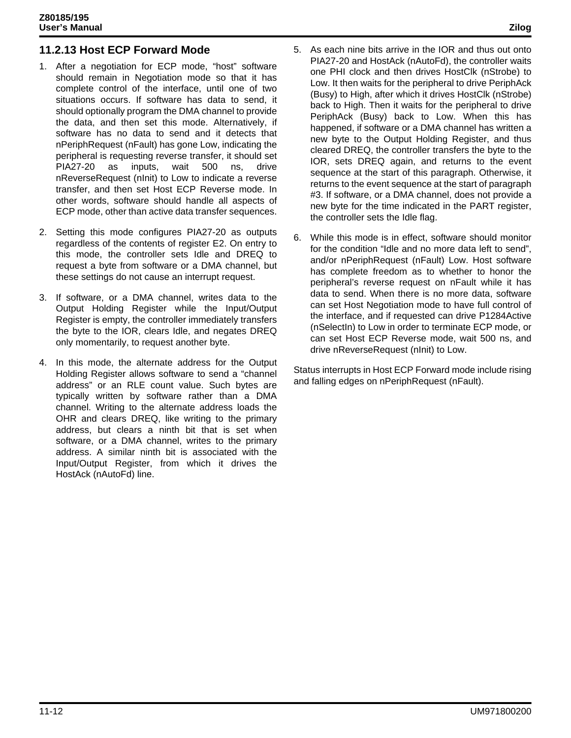## **11.2.13 Host ECP Forward Mode**

- 1. After a negotiation for ECP mode, "host" software should remain in Negotiation mode so that it has complete control of the interface, until one of two situations occurs. If software has data to send, it should optionally program the DMA channel to provide the data, and then set this mode. Alternatively, if software has no data to send and it detects that nPeriphRequest (nFault) has gone Low, indicating the peripheral is requesting reverse transfer, it should set PIA27-20 as inputs, wait 500 ns, drive nReverseRequest (nInit) to Low to indicate a reverse transfer, and then set Host ECP Reverse mode. In other words, software should handle all aspects of ECP mode, other than active data transfer sequences.
- 2. Setting this mode configures PIA27-20 as outputs regardless of the contents of register E2. On entry to this mode, the controller sets Idle and DREQ to request a byte from software or a DMA channel, but these settings do not cause an interrupt request.
- 3. If software, or a DMA channel, writes data to the Output Holding Register while the Input/Output Register is empty, the controller immediately transfers the byte to the IOR, clears Idle, and negates DREQ only momentarily, to request another byte.
- 4. In this mode, the alternate address for the Output Holding Register allows software to send a "channel address" or an RLE count value. Such bytes are typically written by software rather than a DMA channel. Writing to the alternate address loads the OHR and clears DREQ, like writing to the primary address, but clears a ninth bit that is set when software, or a DMA channel, writes to the primary address. A similar ninth bit is associated with the Input/Output Register, from which it drives the HostAck (nAutoFd) line.
- 5. As each nine bits arrive in the IOR and thus out onto PIA27-20 and HostAck (nAutoFd), the controller waits one PHI clock and then drives HostClk (nStrobe) to Low. It then waits for the peripheral to drive PeriphAck (Busy) to High, after which it drives HostClk (nStrobe) back to High. Then it waits for the peripheral to drive PeriphAck (Busy) back to Low. When this has happened, if software or a DMA channel has written a new byte to the Output Holding Register, and thus cleared DREQ, the controller transfers the byte to the IOR, sets DREQ again, and returns to the event sequence at the start of this paragraph. Otherwise, it returns to the event sequence at the start of paragraph #3. If software, or a DMA channel, does not provide a new byte for the time indicated in the PART register, the controller sets the Idle flag.
- 6. While this mode is in effect, software should monitor for the condition "Idle and no more data left to send", and/or nPeriphRequest (nFault) Low. Host software has complete freedom as to whether to honor the peripheral's reverse request on nFault while it has data to send. When there is no more data, software can set Host Negotiation mode to have full control of the interface, and if requested can drive P1284Active (nSelectIn) to Low in order to terminate ECP mode, or can set Host ECP Reverse mode, wait 500 ns, and drive nReverseRequest (nInit) to Low.

Status interrupts in Host ECP Forward mode include rising and falling edges on nPeriphRequest (nFault).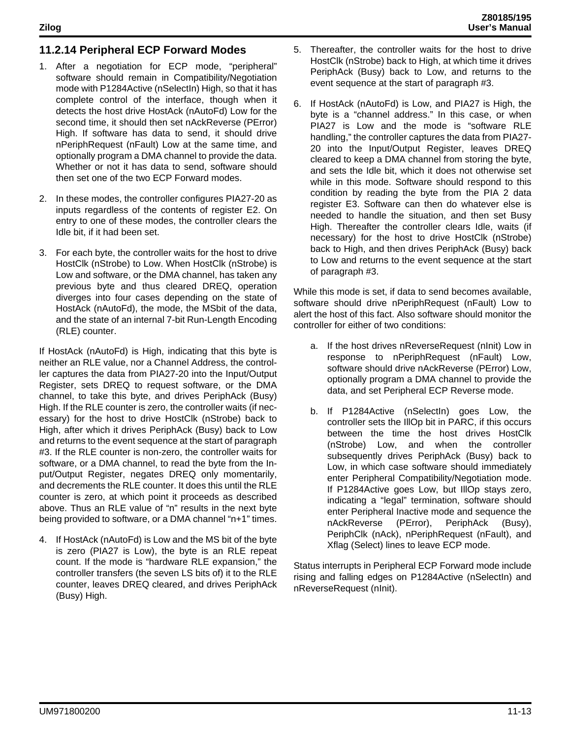## **11.2.14 Peripheral ECP Forward Modes**

- 1. After a negotiation for ECP mode, "peripheral" software should remain in Compatibility/Negotiation mode with P1284Active (nSelectIn) High, so that it has complete control of the interface, though when it detects the host drive HostAck (nAutoFd) Low for the second time, it should then set nAckReverse (PError) High. If software has data to send, it should drive nPeriphRequest (nFault) Low at the same time, and optionally program a DMA channel to provide the data. Whether or not it has data to send, software should then set one of the two ECP Forward modes.
- 2. In these modes, the controller configures PIA27-20 as inputs regardless of the contents of register E2. On entry to one of these modes, the controller clears the Idle bit, if it had been set.
- 3. For each byte, the controller waits for the host to drive HostClk (nStrobe) to Low. When HostClk (nStrobe) is Low and software, or the DMA channel, has taken any previous byte and thus cleared DREQ, operation diverges into four cases depending on the state of HostAck (nAutoFd), the mode, the MSbit of the data, and the state of an internal 7-bit Run-Length Encoding (RLE) counter.

If HostAck (nAutoFd) is High, indicating that this byte is neither an RLE value, nor a Channel Address, the controller captures the data from PIA27-20 into the Input/Output Register, sets DREQ to request software, or the DMA channel, to take this byte, and drives PeriphAck (Busy) High. If the RLE counter is zero, the controller waits (if necessary) for the host to drive HostClk (nStrobe) back to High, after which it drives PeriphAck (Busy) back to Low and returns to the event sequence at the start of paragraph #3. If the RLE counter is non-zero, the controller waits for software, or a DMA channel, to read the byte from the Input/Output Register, negates DREQ only momentarily, and decrements the RLE counter. It does this until the RLE counter is zero, at which point it proceeds as described above. Thus an RLE value of "n" results in the next byte being provided to software, or a DMA channel "n+1" times.

4. If HostAck (nAutoFd) is Low and the MS bit of the byte is zero (PIA27 is Low), the byte is an RLE repeat count. If the mode is "hardware RLE expansion," the controller transfers (the seven LS bits of) it to the RLE counter, leaves DREQ cleared, and drives PeriphAck (Busy) High.

- 5. Thereafter, the controller waits for the host to drive HostClk (nStrobe) back to High, at which time it drives PeriphAck (Busy) back to Low, and returns to the event sequence at the start of paragraph #3.
- 6. If HostAck (nAutoFd) is Low, and PIA27 is High, the byte is a "channel address." In this case, or when PIA27 is Low and the mode is "software RLE handling," the controller captures the data from PIA27- 20 into the Input/Output Register, leaves DREQ cleared to keep a DMA channel from storing the byte, and sets the Idle bit, which it does not otherwise set while in this mode. Software should respond to this condition by reading the byte from the PIA 2 data register E3. Software can then do whatever else is needed to handle the situation, and then set Busy High. Thereafter the controller clears Idle, waits (if necessary) for the host to drive HostClk (nStrobe) back to High, and then drives PeriphAck (Busy) back to Low and returns to the event sequence at the start of paragraph #3.

While this mode is set, if data to send becomes available, software should drive nPeriphRequest (nFault) Low to alert the host of this fact. Also software should monitor the controller for either of two conditions:

- a. If the host drives nReverseRequest (nInit) Low in response to nPeriphRequest (nFault) Low, software should drive nAckReverse (PError) Low, optionally program a DMA channel to provide the data, and set Peripheral ECP Reverse mode.
- b. If P1284Active (nSelectIn) goes Low, the controller sets the IllOp bit in PARC, if this occurs between the time the host drives HostClk (nStrobe) Low, and when the controller subsequently drives PeriphAck (Busy) back to Low, in which case software should immediately enter Peripheral Compatibility/Negotiation mode. If P1284Active goes Low, but IllOp stays zero, indicating a "legal" termination, software should enter Peripheral Inactive mode and sequence the nAckReverse (PError), PeriphAck (Busy), PeriphClk (nAck), nPeriphRequest (nFault), and Xflag (Select) lines to leave ECP mode.

Status interrupts in Peripheral ECP Forward mode include rising and falling edges on P1284Active (nSelectIn) and nReverseRequest (nInit).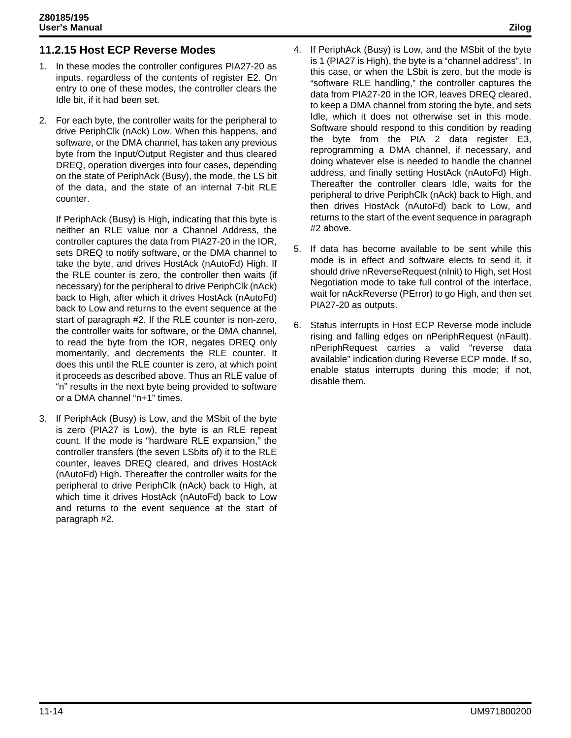## **11.2.15 Host ECP Reverse Modes**

- 1. In these modes the controller configures PIA27-20 as inputs, regardless of the contents of register E2. On entry to one of these modes, the controller clears the Idle bit, if it had been set.
- 2. For each byte, the controller waits for the peripheral to drive PeriphClk (nAck) Low. When this happens, and software, or the DMA channel, has taken any previous byte from the Input/Output Register and thus cleared DREQ, operation diverges into four cases, depending on the state of PeriphAck (Busy), the mode, the LS bit of the data, and the state of an internal 7-bit RLE counter.

If PeriphAck (Busy) is High, indicating that this byte is neither an RLE value nor a Channel Address, the controller captures the data from PIA27-20 in the IOR, sets DREQ to notify software, or the DMA channel to take the byte, and drives HostAck (nAutoFd) High. If the RLE counter is zero, the controller then waits (if necessary) for the peripheral to drive PeriphClk (nAck) back to High, after which it drives HostAck (nAutoFd) back to Low and returns to the event sequence at the start of paragraph #2. If the RLE counter is non-zero, the controller waits for software, or the DMA channel, to read the byte from the IOR, negates DREQ only momentarily, and decrements the RLE counter. It does this until the RLE counter is zero, at which point it proceeds as described above. Thus an RLE value of "n" results in the next byte being provided to software or a DMA channel "n+1" times.

3. If PeriphAck (Busy) is Low, and the MSbit of the byte is zero (PIA27 is Low), the byte is an RLE repeat count. If the mode is "hardware RLE expansion," the controller transfers (the seven LSbits of) it to the RLE counter, leaves DREQ cleared, and drives HostAck (nAutoFd) High. Thereafter the controller waits for the peripheral to drive PeriphClk (nAck) back to High, at which time it drives HostAck (nAutoFd) back to Low and returns to the event sequence at the start of paragraph #2.

- 4. If PeriphAck (Busy) is Low, and the MSbit of the byte is 1 (PIA27 is High), the byte is a "channel address". In this case, or when the LSbit is zero, but the mode is "software RLE handling," the controller captures the data from PIA27-20 in the IOR, leaves DREQ cleared, to keep a DMA channel from storing the byte, and sets Idle, which it does not otherwise set in this mode. Software should respond to this condition by reading the byte from the PIA 2 data register E3, reprogramming a DMA channel, if necessary, and doing whatever else is needed to handle the channel address, and finally setting HostAck (nAutoFd) High. Thereafter the controller clears Idle, waits for the peripheral to drive PeriphClk (nAck) back to High, and
- 5. If data has become available to be sent while this mode is in effect and software elects to send it, it should drive nReverseRequest (nInit) to High, set Host Negotiation mode to take full control of the interface, wait for nAckReverse (PError) to go High, and then set PIA27-20 as outputs.

#2 above.

then drives HostAck (nAutoFd) back to Low, and returns to the start of the event sequence in paragraph

6. Status interrupts in Host ECP Reverse mode include rising and falling edges on nPeriphRequest (nFault). nPeriphRequest carries a valid "reverse data available" indication during Reverse ECP mode. If so, enable status interrupts during this mode; if not, disable them.